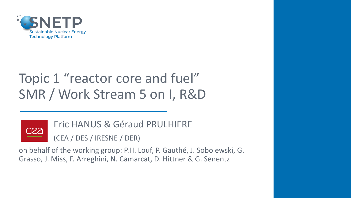

# Topic 1 "reactor core and fuel" SMR / Work Stream 5 on I, R&D



Eric HANUS & Géraud PRULHIERE (CEA / DES / IRESNE / DER)

on behalf of the working group: P.H. Louf, P. Gauthé, J. Sobolewski, G. Grasso, J. Miss, F. Arreghini, N. Camarcat, D. Hittner & G. Senentz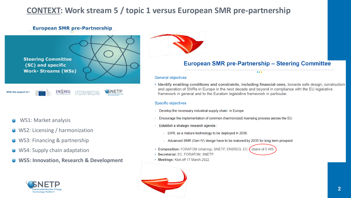## **CONTEXT: Work stream 5 / topic 1 versus European SMR pre-partnership**

### **European SMR pre-Partnership**



- WS1: Market analysis
- WS2: Licensing / harmonization
- WS3: Financing & partnership
- WS4: Supply chain adaptation
- **WS5: Innovation, Research & Development**





### **European SMR pre-Partnership - Steering Committee**

 $• • •$ 

### **General objectives**

• Identify enabling conditions and constraints, including financial ones, towards safe design, construction and operation of SMRs in Europe in the next decade and beyond in compliance with the EU legislative framework in general and to the Euratom legislative framework in particular.

### **Specific objectives**

- Develop the necessary industrial supply chain in Europe
- Encourage the implementation of common (harmonized) licensing process across the EU
- Establish a strategic research agenda :
	- LWR, as a mature technology to be deployed in 2030.
	- Advanced SMR (Gen IV) design have to be matured by 2035 for long term prospect
- Composition: FORATOM (chairing), SNETP, ENSREG, EC  $f$  chairs of 5 WS
- · Secretariat: EC, FORATOM, SNETP
- Meetings: Kick-off 17 March 2022

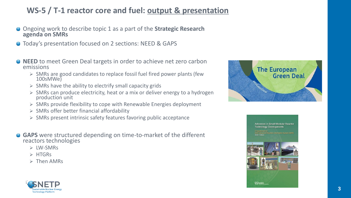## **WS-5 / T-1 reactor core and fuel: output & presentation**

- Ongoing work to describe topic 1 as a part of the **Strategic Research agenda on SMRs**
- **O** Today's presentation focused on 2 sections: NEED & GAPS
- **NEED** to meet Green Deal targets in order to achieve net zero carbon emissions
	- ➢ SMRs are good candidates to replace fossil fuel fired power plants (few 100sMWe)
	- $\triangleright$  SMRs have the ability to electrify small capacity grids
	- ➢ SMRs can produce electricity, heat or a mix or deliver energy to a hydrogen production unit
	- $\triangleright$  SMRs provide flexibility to cope with Renewable Energies deployment
	- ➢ SMRs offer better financial affordability
	- ➢ SMRs present intrinsic safety features favoring public acceptance
- **GAPS** were structured depending on time-to-market of the different reactors technologies
	- ➢ LW-SMRs
	- ➢ HTGRs
	- ➢ Then AMRs





**Advances in Small Modular Reactor Technology Developments** 

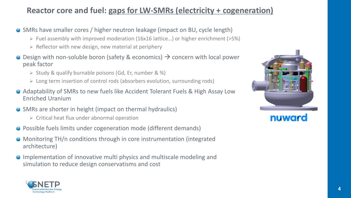## **Reactor core and fuel: gaps for LW-SMRs (electricity + cogeneration)**

- SMRs have smaller cores / higher neutron leakage (impact on BU, cycle length)
	- ➢ Fuel assembly with improved moderation (16x16 lattice…) or higher enrichment (>5%)
	- $\triangleright$  Reflector with new design, new material at periphery
- Design with non-soluble boron (safety & economics)  $\rightarrow$  concern with local power peak factor
	- ➢ Study & qualify burnable poisons (Gd, Er, number & %)
	- ➢ Long term insertion of control rods (absorbers evolution, surrounding rods)
- Adaptability of SMRs to new fuels like Accident Tolerant Fuels & High Assay Low Enriched Uranium
- SMRs are shorter in height (impact on thermal hydraulics)
	- ➢ Critical heat flux under abnormal operation
- Possible fuels limits under cogeneration mode (different demands)
- Monitoring TH/n conditions through in core instrumentation (integrated architecture)
- Implementation of innovative multi physics and multiscale modeling and simulation to reduce design conservatisms and cost



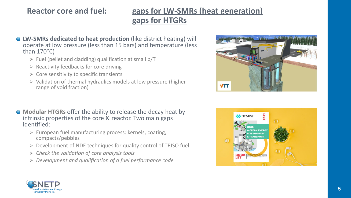## **Reactor core and fuel: gaps for LW-SMRs (heat generation) gaps for HTGRs**

- **LW-SMRs dedicated to heat production** (like district heating) will  $\bullet$ operate at low pressure (less than 15 bars) and temperature (less than 170°C)
	- $\triangleright$  Fuel (pellet and cladding) qualification at small p/T
	- $\triangleright$  Reactivity feedbacks for core driving
	- $\triangleright$  Core sensitivity to specific transients
	- ➢ Validation of thermal hydraulics models at low pressure (higher range of void fraction)
- **Modular HTGRs** offer the ability to release the decay heat by intrinsic properties of the core & reactor. Two main gaps identified:
	- ➢ European fuel manufacturing process: kernels, coating, compacts/pebbles
	- ➢ Development of NDE techniques for quality control of TRISO fuel
	- ➢ *Check the validation of core analysis tools*
	- ➢ *Development and qualification of a fuel performance code*





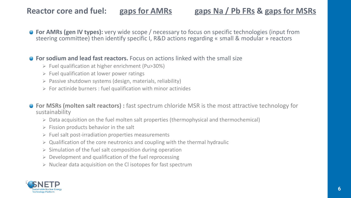## **Reactor core and fuel: gaps for AMRs gaps Na / Pb FRs & gaps for MSRs**

**For AMRs (gen IV types):** very wide scope / necessary to focus on specific technologies (input from steering committee) then identify specific I, R&D actions regarding « small & modular » reactors

### **• For sodium and lead fast reactors.** Focus on actions linked with the small size

- ➢ Fuel qualification at higher enrichment (Pu>30%)
- $\triangleright$  Fuel qualification at lower power ratings
- ➢ Passive shutdown systems (design, materials, reliability)
- $\triangleright$  For actinide burners : fuel qualification with minor actinides

● **For MSRs (molten salt reactors)** : fast spectrum chloride MSR is the most attractive technology for sustainability

- ➢ Data acquisition on the fuel molten salt properties (thermophysical and thermochemical)
- $\triangleright$  Fission products behavior in the salt
- ➢ Fuel salt post-irradiation properties measurements
- $\triangleright$  Qualification of the core neutronics and coupling with the thermal hydraulic
- $\triangleright$  Simulation of the fuel salt composition during operation
- ➢ Development and qualification of the fuel reprocessing
- $\triangleright$  Nuclear data acquisition on the CI isotopes for fast spectrum